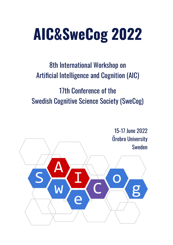# **AIC&SweCog 2022**

## 8th International Workshop on Artificial Intelligence and Cognition (AIC)

## 17th Conference of the Swedish Cognitive Science Society (SweCog)

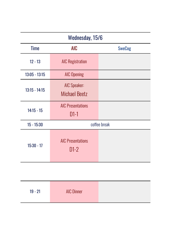| Wednesday, 15/6 |                                      |               |  |  |
|-----------------|--------------------------------------|---------------|--|--|
| <b>Time</b>     | <b>AIC</b>                           | <b>SweCog</b> |  |  |
| $12 - 13$       | <b>AIC Registration</b>              |               |  |  |
| $13:05 - 13:15$ | <b>AIC Opening</b>                   |               |  |  |
| $13:15 - 14:15$ | AIC Speaker:<br><b>Michael Beetz</b> |               |  |  |
| $14:15 - 15$    | <b>AIC Presentations</b><br>$D1-1$   |               |  |  |
| $15 - 15:30$    | coffee break                         |               |  |  |
| $15:30 - 17$    | <b>AIC Presentations</b><br>$D1-2$   |               |  |  |

| <b>AIC Dinner</b><br>$19 - 21$ |
|--------------------------------|
|--------------------------------|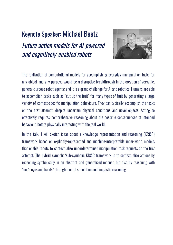## Keynote Speaker: Michael Beetz



Future action models for AI-powered and cognitively-enabled robot[s](https://aic20.aass.oru.se/speaker-details.html#beetz)

The realization of computational models for accomplishing everyday manipulation tasks for any object and any purpose would be a disruptive breakthrough in the creation of versatile, general-purpose robot agents; and it is a grand challenge for AI and robotics. Humans are able to accomplish tasks such as "cut up the fruit" for many types of fruit by generating a large variety of context-specific manipulation behaviours. They can typically accomplish the tasks on the first attempt, despite uncertain physical conditions and novel objects. Acting so effectively requires comprehensive reasoning about the possible consequences of intended behaviour, before physically interacting with the real world.

In the talk, I will sketch ideas about a knowledge representation and reasoning (KR&R) framework based on explicitly-represented and machine-interpretable inner-world models, that enable robots to contextualize underdetermined manipulation task requests on the first attempt. The hybrid symbolic/sub-symbolic KR&R framework is to contextualize actions by reasoning symbolically in an abstract and generalized manner, but also by reasoning with "one's eyes and hands" through mental simulation and imagistic reasoning.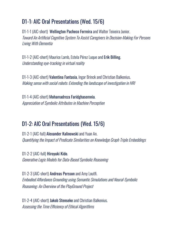#### D1-1: AIC Oral Presentations (Wed. 15/6)

D1-1-1 (AIC-short) Wellington Pacheco Ferreira and Walter Teixeira Junior. Toward An Artificial Cognitive System To Assist Caregivers In Decision-Making For Persons Living With Dementia

D1-1-2 (AIC-short) Maurice Lamb, Estela Pérez Luque and Erik Billing. Understanding eye-tracking in virtual reality

D1-1-3 (AIC-short) Valentina Fantasia, Ingar Brinck and Christian Balkenius. Making sense with social robots: Extending the landscape of investigation in HRI

D1-1-4 (AIC-short) Mohamadreza Faridghasemnia. Appreciation of Symbolic Attributes in Machine Perception

#### D1-2: AIC Oral Presentations (Wed. 15/6)

D1-2-1 (AIC-full) Alexander Kalinowski and Yuan An. Quantifying the Impact of Predicate Similarities on Knowledge Graph Triple Embeddings

D1-2-2 (AIC-full) Hiroyuki Kido. Generative Logic Models for Data-Based Symbolic Reasoning

D1-2-3 (AIC-short) Andreas Persson and Amy Loutfi. Embodied Affordance Grounding using Semantic Simulationsand Neural-Symbolic Reasoning: An Overview of the PlayGround Project

D1-2-4 (AIC-short) Jakob Stenseke and Christian Balkenius. Assessing the Time Efficiency of Ethical Algorithms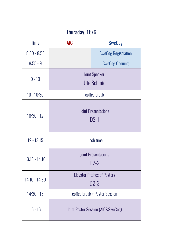| Thursday, 16/6  |                                      |                                            |  |  |  |
|-----------------|--------------------------------------|--------------------------------------------|--|--|--|
| <b>Time</b>     | <b>AIC</b>                           | <b>SweCog</b>                              |  |  |  |
| $8:30 - 8:55$   |                                      | <b>SweCog Registration</b>                 |  |  |  |
| $8:55 - 9$      |                                      | <b>SweCog Opening</b>                      |  |  |  |
| $9 - 10$        |                                      | <b>Joint Speaker:</b><br><b>Ute Schmid</b> |  |  |  |
| $10 - 10:30$    | coffee break                         |                                            |  |  |  |
| $10:30 - 12$    | <b>Joint Presentations</b><br>$D2-1$ |                                            |  |  |  |
| $12 - 13:15$    | lunch time                           |                                            |  |  |  |
| $13:15 - 14:10$ |                                      | <b>Joint Presentations</b><br>$D2-2$       |  |  |  |
| 14:10 - 14:30   |                                      | <b>Elevator Pitches of Posters</b><br>D2-3 |  |  |  |
| $14:30 - 15$    | coffee break + Poster Session        |                                            |  |  |  |
| $15 - 16$       | Joint Poster Session (AIC&SweCog)    |                                            |  |  |  |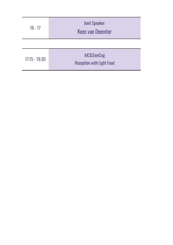| $16 - 17$       | <b>Joint Speaker:</b><br><b>Kees van Deemter</b> |  |
|-----------------|--------------------------------------------------|--|
|                 |                                                  |  |
| $17:15 - 19:30$ | AIC&SweCog<br><b>Reception with Light Food</b>   |  |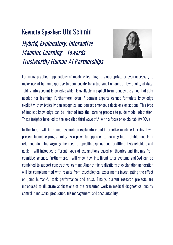#### Keynote Speaker: Ute Schmid

Hybrid, Explanatory, Interactive Machine Learning - Towards Trustworthy Human-AI Partnerships



For many practical applications of machine learning, it is appropriate or even necessary to make use of human expertise to compensate for a too-small amount or low quality of data. Taking into account knowledge which is available in explicit form reduces the amount of data needed for learning. Furthermore, even if domain experts cannot formulate knowledge explicitly, they typically can recognize and correct erroneous decisions or actions. This type of implicit knowledge can be injected into the learning process to guide model adaptation. These insights have led to the so-called third wave of AI with a focus on explainability (XAI).

In the talk, I will introduce research on explanatory and interactive machine learning. I will present inductive programming as a powerful approach to learning interpretable models in relational domains. Arguing the need for specific explanations for different stakeholders and goals, I will introduce different types of explanations based on theories and findings from cognitive science. Furthermore, I will show how intelligent tutor systems and XAI can be combined to support constructive learning. Algorithmic realisations of explanation generation will be complemented with results from psychological experiments investigating the effect on joint human-AI task performance and trust. Finally, current research projects are introduced to illustrate applications of the presented work in medical diagnostics, quality control in industrial production, file management, and accountability.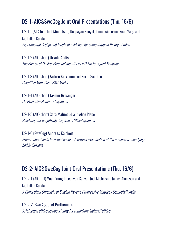#### D2-1: AIC&SweCog Joint Oral Presentations (Thu. 16/6)

D2-1-1 (AIC-full) Joel Michelson, Deepayan Sanyal, James Ainooson, Yuan Yang and Maithilee Kunda. Experimental design and facetsof evidence for computational theoryof mind

D2-1-2 (AIC-short) Ursula Addison. The Source of Desire: Personal Identity as a Drive for Agent Behavior

D2-1-3 (AIC-short) Antero Karvonen and Pertti Saariluoma. Cognitive Mimetics - SMT Model

D2-1-4 (AIC-short) Jasmin Grosinger. On Proactive Human-AI systems

D2-1-5 (AIC-short) Sara Mahmoud and Alice Plebe. Road map for cognitively-inspired artificial systems

D2-1-6 (SweCog) Andreas Kalckert. From rubber hands to virtual hands - A critical examination of the processes underlying bodily illusions

#### D2-2: AIC&SweCog Joint Oral Presentations (Thu. 16/6)

D2-2-1 (AIC-full) Yuan Yang, Deepayan Sanyal, Joel Michelson, James Ainooson and Maithilee Kunda. A Conceptual Chronicle of Solving Raven's Progressive Matrices Computationally

D2-2-2 (SweCog) Joel Parthemore. Artefactual ethics as opportunity for rethinking "natural" ethics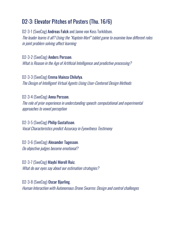#### D2-3: Elevator Pitches of Posters (Thu. 16/6)

D2-3-1 (SweCog) Andreas Falck and Janne von Koss Torkildsen. The leader learns it all? Using the "Kaptein Morf" tablet game to examine how different roles in joint problem solving affect learning

D2-3-2 (SweCog) Anders Persson. What is Reason in the Age of Artificial Intelligence and predictive processing?

D2-3-3 (SweCog) Emma Mainza Chilufya. The Design of Intelligent Virtual Agents Using User-Centered Design Methods

D2-3-4 (SweCog) Anna Persson. The role of prior experience in understanding speech: computational and experimental approaches to vowel perception

D2-3-5 (SweCog) Philip Gustafsson. Vocal Characteristics predict Accuracy in Eyewitness Testimony

D2-3-6 (SweCog) Alexander Tagesson. Do objective judges become emotional?

D2-3-7 (SweCog) Maybí Morell Ruiz. What do our eyes say about our estimation strategies?

D2-3-8 (SweCog) Oscar Bjurling. Human Interaction with Autonomous Drone Swarms: Design and control challenges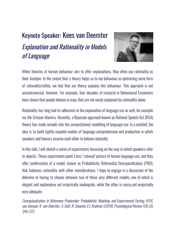### Keynote Speaker: Kees van Deemter Explanation and Rationality in Models of Language



When theories of human behaviour aim to offer explanations, they often use rationality as their linchpin: to the extent that a theory helps us to see behaviour as optimising some form of rationality/utility, we feel that our theory explains this behaviour. This approach is not uncontroversial, however. For example, four decades of research in Behavioural Economics have shown that people behave in ways that are not easily explained by rationality alone.

Rationality has long had its adherents in the explanation of language use as well, for example via the Gricean Maxims. Recently, a Bayesian approach known as Rational Speech Act (RSA) theory has made inroads into the computational modelling of language use. In a nutshell, the idea is to build tightly coupled models of language comprehension and production in which speakers and hearers assume each other to behave rationally.

In this talk, I will sketch a series of experiments focussing on the way in which speakers refer to objects. These experiments paint a less "rational" picture of human language use, and they offer confirmation of a model, known as Probabilistic Referential Overspecification (PRO), that balances rationality with other considerations. I hope to engage in a discussion of the dilemma of having to choose between two of these very different models, one of which is elegant and explanatory yet empirically inadequate, while the other is messy yet empirically very adequate.

Conceptualization in Reference Production: Probabilistic Modeling and Experimental Testing. R.P.G. van Gompel, K. van Deemter, A. Gatt, R. Snoeren,E.J. Krahmer (2019). Psychological Review 126 (3), 345-373.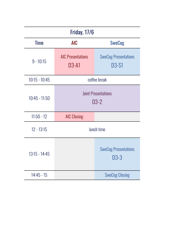| <b>Friday, 17/6</b> |                                      |                                      |  |  |  |
|---------------------|--------------------------------------|--------------------------------------|--|--|--|
| <b>Time</b>         | <b>AIC</b>                           | <b>SweCog</b>                        |  |  |  |
| $9 - 10:15$         | <b>AIC Presentations</b><br>D3-A1    | <b>SweCog Presentations</b><br>D3-S1 |  |  |  |
| $10:15 - 10:45$     | coffee break                         |                                      |  |  |  |
| $10:45 - 11:50$     | <b>Joint Presentations</b><br>$D3-2$ |                                      |  |  |  |
| $11:50 - 12$        | <b>AIC Closing</b>                   |                                      |  |  |  |
| $12 - 13:15$        | lunch time                           |                                      |  |  |  |
| $13:15 - 14:45$     |                                      | <b>SweCog Presentations</b><br>D3-3  |  |  |  |
| $14:45 - 15$        |                                      | <b>SweCog Closing</b>                |  |  |  |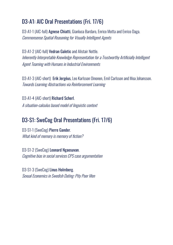#### D3-A1: AIC Oral Presentations (Fri. 17/6)

D3-A1-1 (AIC-full) Agnese Chiatti, Gianluca Bardaro, Enrico Motta and Enrico Daga. Commonsense Spatial Reasoning for Visually Intelligent Agents

D3-A1-2 (AIC-full) Vedran Galetic and Alistair Nottle. Inherently Interpretable Knowledge Representation fora Trustworthy Artificially Intelligent Agent Teaming with Humans in Industrial Environments

D3-A1-3 (AIC-short) Erik Jergéus, Leo Karlsson Oinonen, Emil Carlsson and Moa Johansson. Towards Learning Abstractions via Reinforcement Learning

D3-A1-4 (AIC-short) Richard Scherl. A situation-calculus based modelof linguistic context

#### D3-S1: SweCog Oral Presentations (Fri. 17/6)

D3-S1-1 (SweCog) Pierre Gander. What kind of memory is memory of fiction?

D3-S1-2 (SweCog) Leonard Ngaosuvan. Cognitive bias in social services CPS case argumentation

D3-S1-3 (SweCog) Linus Holmberg. Sexual Economics in Swedish Dating: Pity Poor Men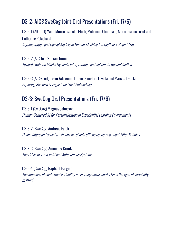#### D3-2: AIC&SweCog Joint Oral Presentations (Fri. 17/6)

D3-2-1 (AIC-full) Yann Munro, Isabelle Bloch, Mohamed Chetouani, Marie-Jeanne Lesot and Catherine Pelachaud. Argumentation and Causal Models in Human-Machine Interaction: A Round Trip

D3-2-2 (AIC-full) Stevan Tomic. Towards Robotic Minds: Dynamic Interpretation and Schemata Recombination

D3-2-3 (AIC-short) Tosin Adewumi, Foteini Simistira Liwicki and Marcus Liwicki. Exploring Swedish & English fastText Embeddings

#### D3-3: SweCog Oral Presentations (Fri. 17/6)

D3-3-1 (SweCog) Magnus Johnsson. Human-Centered AI for Personalization in Experiential Learning Environments

D3-3-2 (SweCog) Andreas Falck. Online filters and social trust: why we should still be concerned about Filter Bubbles

D3-3-3 (SweCog) Amandus Krantz. The Crisis of Trust in AI and Autonomous Systems

D3-3-4 (SweCog) Raphaël Fargier.

The influence of contextual variability on learning novel words: Does the type of variability matter?